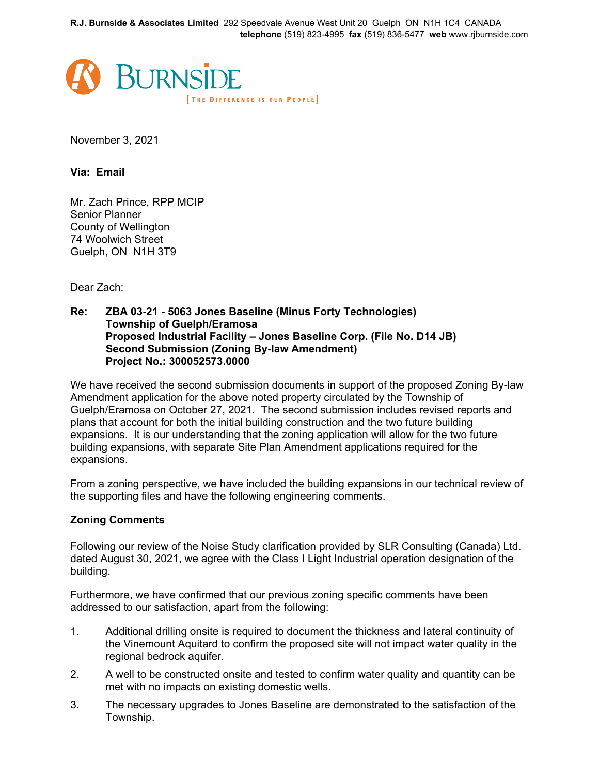**R.J. Burnside & Associates Limited** 292 Speedvale Avenue West Unit 20 Guelph ON N1H 1C4 CANADA **telephone** (519) 823-4995 **fax** (519) 836-5477 **web** www.rjburnside.com



November 3, 2021

**Via: Email**

Mr. Zach Prince, RPP MCIP Senior Planner County of Wellington 74 Woolwich Street Guelph, ON N1H 3T9

Dear Zach:

## **Re: ZBA 03-21 - 5063 Jones Baseline (Minus Forty Technologies) Township of Guelph/Eramosa Proposed Industrial Facility – Jones Baseline Corp. (File No. D14 JB) Second Submission (Zoning By-law Amendment) Project No.: 300052573.0000**

We have received the second submission documents in support of the proposed Zoning By-law Amendment application for the above noted property circulated by the Township of Guelph/Eramosa on October 27, 2021. The second submission includes revised reports and plans that account for both the initial building construction and the two future building expansions. It is our understanding that the zoning application will allow for the two future building expansions, with separate Site Plan Amendment applications required for the expansions.

From a zoning perspective, we have included the building expansions in our technical review of the supporting files and have the following engineering comments.

## **Zoning Comments**

Following our review of the Noise Study clarification provided by SLR Consulting (Canada) Ltd. dated August 30, 2021, we agree with the Class I Light Industrial operation designation of the building.

Furthermore, we have confirmed that our previous zoning specific comments have been addressed to our satisfaction, apart from the following:

- 1. Additional drilling onsite is required to document the thickness and lateral continuity of the Vinemount Aquitard to confirm the proposed site will not impact water quality in the regional bedrock aquifer.
- 2. A well to be constructed onsite and tested to confirm water quality and quantity can be met with no impacts on existing domestic wells.
- 3. The necessary upgrades to Jones Baseline are demonstrated to the satisfaction of the Township.